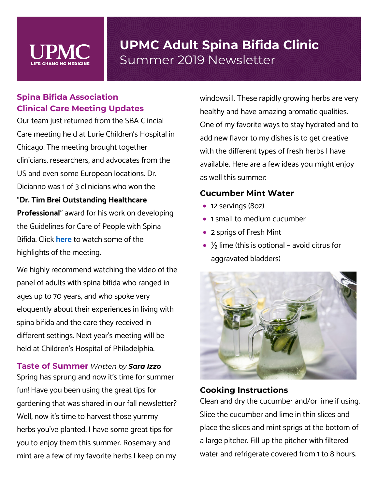

### **Spina Bifida Association Clinical Care Meeting Updates**

Our team just returned from the SBA Clincial Care meeting held at Lurie Children's Hospital in Chicago. The meeting brought together clinicians, researchers, and advocates from the US and even some European locations. Dr. Dicianno was 1 of 3 clinicians who won the

"**Dr. Tim Brei Outstanding Healthcare** 

**Professional**" award for his work on developing the Guidelines for Care of People with Spina Bifida. Click **[here](https://luriechildrens.mediasite.com/Mediasite/Catalog/catalogs/spina-bifida-critical-care-meeting-2019)** to watch some of the highlights of the meeting.

We highly recommend watching the video of the panel of adults with spina bifida who ranged in ages up to 70 years, and who spoke very eloquently about their experiences in living with spina bifida and the care they received in different settings. Next year's meeting will be held at Children's Hospital of Philadelphia.

**Taste of Summer** *Written by Sara Izzo* Spring has sprung and now it's time for summer fun! Have you been using the great tips for gardening that was shared in our fall newsletter? Well, now it's time to harvest those yummy herbs you've planted. I have some great tips for you to enjoy them this summer. Rosemary and mint are a few of my favorite herbs I keep on my windowsill. These rapidly growing herbs are very healthy and have amazing aromatic qualities. One of my favorite ways to stay hydrated and to add new flavor to my dishes is to get creative with the different types of fresh herbs I have available. Here are a few ideas you might enjoy as well this summer:

#### **Cucumber Mint Water**

- 12 servings (8oz)
- 1 small to medium cucumber
- 2 sprigs of Fresh Mint
- $\frac{1}{2}$  lime (this is optional avoid citrus for aggravated bladders)



#### **Cooking Instructions**

Clean and dry the cucumber and/or lime if using. Slice the cucumber and lime in thin slices and place the slices and mint sprigs at the bottom of a large pitcher. Fill up the pitcher with filtered water and refrigerate covered from 1 to 8 hours.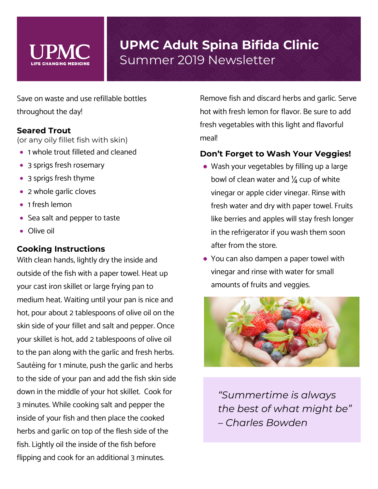

Save on waste and use refillable bottles throughout the day!

#### **Seared Trout**

(or any oily fillet fish with skin)

- 1 whole trout filleted and cleaned
- 3 sprigs fresh rosemary
- 3 sprigs fresh thyme
- 2 whole garlic cloves
- 1 fresh lemon
- Sea salt and pepper to taste
- Olive oil

### **Cooking Instructions**

With clean hands, lightly dry the inside and outside of the fish with a paper towel. Heat up your cast iron skillet or large frying pan to medium heat. Waiting until your pan is nice and hot, pour about 2 tablespoons of olive oil on the skin side of your fillet and salt and pepper. Once your skillet is hot, add 2 tablespoons of olive oil to the pan along with the garlic and fresh herbs. Sautéing for 1 minute, push the garlic and herbs to the side of your pan and add the fish skin side down in the middle of your hot skillet. Cook for 3 minutes. While cooking salt and pepper the inside of your fish and then place the cooked herbs and garlic on top of the flesh side of the fish. Lightly oil the inside of the fish before flipping and cook for an additional 3 minutes.

Remove fish and discard herbs and garlic. Serve hot with fresh lemon for flavor. Be sure to add fresh vegetables with this light and flavorful meal!

### **Don't Forget to Wash Your Veggies!**

- Wash your vegetables by filling up a large bowl of clean water and  $\frac{1}{4}$  cup of white vinegar or apple cider vinegar. Rinse with fresh water and dry with paper towel. Fruits like berries and apples will stay fresh longer in the refrigerator if you wash them soon after from the store.
- You can also dampen a paper towel with vinegar and rinse with water for small amounts of fruits and veggies.



*"Summertime is always the best of what might be" – Charles Bowden*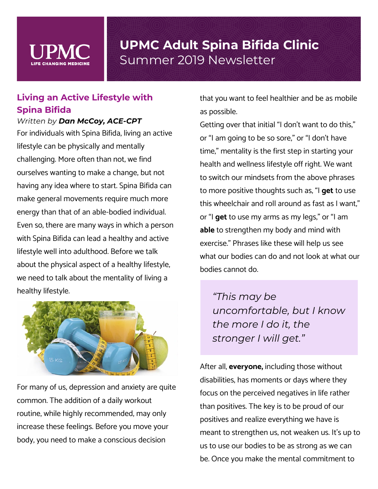

### **Living an Active Lifestyle with Spina Bifida**

*Written by Dan McCoy, ACE-CPT*

For individuals with Spina Bifida, living an active lifestyle can be physically and mentally challenging. More often than not, we find ourselves wanting to make a change, but not having any idea where to start. Spina Bifida can make general movements require much more energy than that of an able-bodied individual. Even so, there are many ways in which a person with Spina Bifida can lead a healthy and active lifestyle well into adulthood. Before we talk about the physical aspect of a healthy lifestyle, we need to talk about the mentality of living a healthy lifestyle.



For many of us, depression and anxiety are quite common. The addition of a daily workout routine, while highly recommended, may only increase these feelings. Before you move your body, you need to make a conscious decision

that you want to feel healthier and be as mobile as possible.

Getting over that initial "I don't want to do this," or "I am going to be so sore," or "I don't have time," mentality is the first step in starting your health and wellness lifestyle off right. We want to switch our mindsets from the above phrases to more positive thoughts such as, "I **get** to use this wheelchair and roll around as fast as I want," or "I **get** to use my arms as my legs," or "I am **able** to strengthen my body and mind with exercise." Phrases like these will help us see what our bodies can do and not look at what our bodies cannot do.

*"This may be uncomfortable, but I know the more I do it, the stronger I will get."*

After all, **everyone,** including those without disabilities, has moments or days where they focus on the perceived negatives in life rather than positives. The key is to be proud of our positives and realize everything we have is meant to strengthen us, not weaken us. It's up to us to use our bodies to be as strong as we can be. Once you make the mental commitment to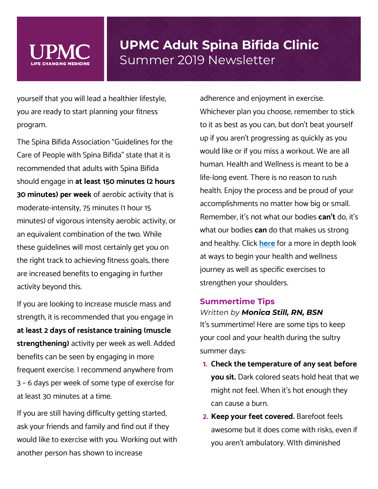yourself that you will lead a healthier lifestyle, you are ready to start planning your fitness program.

The Spina Bifida Association "Guidelines for the Care of People with Spina Bifida" state that it is recommended that adults with Spina Bifida should engage in **at least 150 minutes (2 hours 30 minutes) per week** of aerobic activity that is moderate-intensity, 75 minutes (1 hour 15 minutes) of vigorous intensity aerobic activity, or an equivalent combination of the two. While these guidelines will most certainly get you on the right track to achieving fitness goals, there are increased benefits to engaging in further activity beyond this.

If you are looking to increase muscle mass and strength, it is recommended that you engage in **at least 2 days of resistance training (muscle strengthening)** activity per week as well. Added benefits can be seen by engaging in more frequent exercise. I recommend anywhere from 3 – 6 days per week of some type of exercise for at least 30 minutes at a time.

If you are still having difficulty getting started, ask your friends and family and find out if they would like to exercise with you. Working out with another person has shown to increase

adherence and enjoyment in exercise. Whichever plan you choose, remember to stick to it as best as you can, but don't beat yourself up if you aren't progressing as quickly as you would like or if you miss a workout. We are all human. Health and Wellness is meant to be a life-long event. There is no reason to rush health. Enjoy the process and be proud of your accomplishments no matter how big or small. Remember, it's not what our bodies **can't** do, it's what our bodies **can** do that makes us strong and healthy. Click **[here](https://www.youtube.com/channel/UC8Fp1DipnMo9hawQhS8rmEw)** for a more in depth look at ways to begin your health and wellness journey as well as specific exercises to strengthen your shoulders.

#### **Summertime Tips**

#### *Written by Monica Still, RN, BSN*

It's summertime! Here are some tips to keep your cool and your health during the sultry summer days:

- **1. Check the temperature of any seat before you sit.** Dark colored seats hold heat that we might not feel. When it's hot enough they can cause a burn.
- **2. Keep your feet covered.** Barefoot feels awesome but it does come with risks, even if you aren't ambulatory. WIth diminished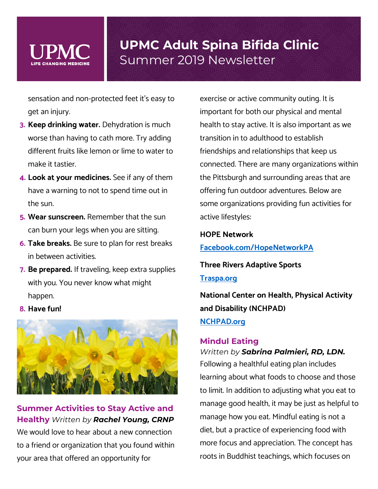

sensation and non-protected feet it's easy to get an injury.

- **3. Keep drinking water.** Dehydration is much worse than having to cath more. Try adding different fruits like lemon or lime to water to make it tastier.
- **4. Look at your medicines.** See if any of them have a warning to not to spend time out in the sun.
- **5. Wear sunscreen.** Remember that the sun can burn your legs when you are sitting.
- **6. Take breaks.** Be sure to plan for rest breaks in between activities.
- **7. Be prepared.** If traveling, keep extra supplies with you. You never know what might happen.

#### **8. Have fun!**



### **Summer Activities to Stay Active and Healthy** *Written by Rachel Young, CRNP*

We would love to hear about a new connection to a friend or organization that you found within your area that offered an opportunity for

exercise or active community outing. It is important for both our physical and mental health to stay active. It is also important as we transition in to adulthood to establish friendships and relationships that keep us connected. There are many organizations within the Pittsburgh and surrounding areas that are offering fun outdoor adventures. Below are some organizations providing fun activities for active lifestyles:

#### **HOPE Network**

**[Facebook.com/HopeNetworkPA](https://www.facebook.com/HOPENetworkPA/)**

**Three Rivers Adaptive Sports [Traspa.org](https://www.traspa.org/)**

**National Center on Health, Physical Activity and Disability (NCHPAD) [NCHPAD.org](https://www.nchpad.org/)**

#### **Mindul Eating**

#### *Written by Sabrina Palmieri, RD, LDN.*

Following a healthful eating plan includes learning about what foods to choose and those to limit. In addition to adjusting what you eat to manage good health, it may be just as helpful to manage how you eat. Mindful eating is not a diet, but a practice of experiencing food with more focus and appreciation. The concept has roots in Buddhist teachings, which focuses on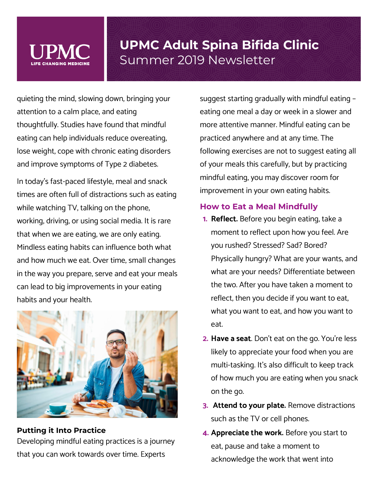

quieting the mind, slowing down, bringing your attention to a calm place, and eating thoughtfully. Studies have found that mindful eating can help individuals reduce overeating, lose weight, cope with chronic eating disorders and improve symptoms of Type 2 diabetes.

In today's fast-paced lifestyle, meal and snack times are often full of distractions such as eating while watching TV, talking on the phone, working, driving, or using social media. It is rare that when we are eating, we are only eating. Mindless eating habits can influence both what and how much we eat. Over time, small changes in the way you prepare, serve and eat your meals can lead to big improvements in your eating habits and your health.



**Putting it Into Practice**  Developing mindful eating practices is a journey that you can work towards over time. Experts

suggest starting gradually with mindful eating – eating one meal a day or week in a slower and more attentive manner. Mindful eating can be practiced anywhere and at any time. The following exercises are not to suggest eating all of your meals this carefully, but by practicing mindful eating, you may discover room for improvement in your own eating habits.

#### **How to Eat a Meal Mindfully**

- **1. Reflect.** Before you begin eating, take a moment to reflect upon how you feel. Are you rushed? Stressed? Sad? Bored? Physically hungry? What are your wants, and what are your needs? Differentiate between the two. After you have taken a moment to reflect, then you decide if you want to eat, what you want to eat, and how you want to eat.
- **2. Have a seat**. Don't eat on the go. You're less likely to appreciate your food when you are multi-tasking. It's also difficult to keep track of how much you are eating when you snack on the go.
- **3. Attend to your plate.** Remove distractions such as the TV or cell phones.
- **4. Appreciate the work.** Before you start to eat, pause and take a moment to acknowledge the work that went into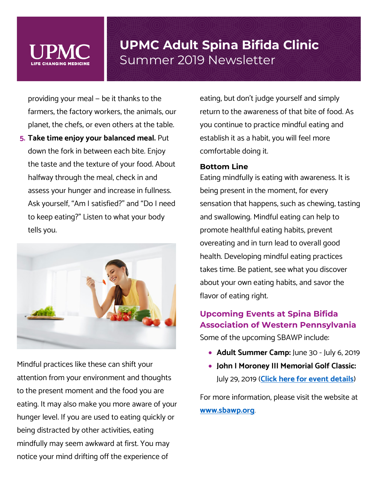

providing your meal — be it thanks to the farmers, the factory workers, the animals, our planet, the chefs, or even others at the table.

**5. Take time enjoy your balanced meal.** Put down the fork in between each bite. Enjoy the taste and the texture of your food. About halfway through the meal, check in and assess your hunger and increase in fullness. Ask yourself, "Am I satisfied?" and "Do I need to keep eating?" Listen to what your body tells you.



Mindful practices like these can shift your attention from your environment and thoughts to the present moment and the food you are eating. It may also make you more aware of your hunger level. If you are used to eating quickly or being distracted by other activities, eating mindfully may seem awkward at first. You may notice your mind drifting off the experience of

eating, but don't judge yourself and simply return to the awareness of that bite of food. As you continue to practice mindful eating and establish it as a habit, you will feel more comfortable doing it.

#### **Bottom Line**

Eating mindfully is eating with awareness. It is being present in the moment, for every sensation that happens, such as chewing, tasting and swallowing. Mindful eating can help to promote healthful eating habits, prevent overeating and in turn lead to overall good health. Developing mindful eating practices takes time. Be patient, see what you discover about your own eating habits, and savor the flavor of eating right.

### **Upcoming Events at Spina Bifida Association of Western Pennsylvania**

Some of the upcoming SBAWP include:

- **Adult Summer Camp:** June 30 July 6, 2019
- **John I Moroney III Memorial Golf Classic:** July 29, 2019 (**[Click here for event details](https://sbawp.org/events/31st-annual-john-l-moroney-iii-memorial-golf-classic/)**)

For more information, please visit the website at **[www.sbawp.org](http://www.sbawp.org/)**.